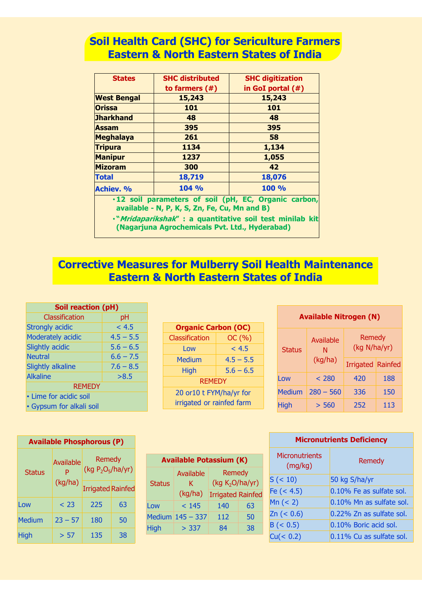#### **Soil Health Card (SHC) for Sericulture Farmers Eastern & North Eastern States of India**

| <b>States</b>                                                                                         | <b>SHC distributed</b> | <b>SHC digitization</b> |  |  |  |  |  |
|-------------------------------------------------------------------------------------------------------|------------------------|-------------------------|--|--|--|--|--|
|                                                                                                       | to farmers $($ # $)$   | in GoI portal $($ #)    |  |  |  |  |  |
| <b>West Bengal</b>                                                                                    | 15,243                 | 15,243                  |  |  |  |  |  |
| <b>Orissa</b>                                                                                         | 101                    | 101                     |  |  |  |  |  |
| <b>Jharkhand</b>                                                                                      | 48                     | 48                      |  |  |  |  |  |
| <b>Assam</b>                                                                                          | 395                    | 395                     |  |  |  |  |  |
| <b>Meghalaya</b>                                                                                      | 261                    | 58                      |  |  |  |  |  |
| <b>Tripura</b>                                                                                        | 1134                   | 1,134                   |  |  |  |  |  |
| <b>Manipur</b>                                                                                        | 1237                   | 1,055                   |  |  |  |  |  |
| <b>Mizoram</b>                                                                                        | 300                    | 42                      |  |  |  |  |  |
| <b>Total</b>                                                                                          | 18,719                 | 18,076                  |  |  |  |  |  |
| <b>Achiev. %</b>                                                                                      | 104 %                  | 100 %                   |  |  |  |  |  |
| .12 soil parameters of soil (pH, EC, Organic carbon,<br>available - N, P, K, S, Zn, Fe, Cu, Mn and B) |                        |                         |  |  |  |  |  |
| ·"Mridaparikshak" : a quantitative soil test minilab kit                                              |                        |                         |  |  |  |  |  |

**(Nagarjuna Agrochemicals Pvt. Ltd., Hyderabad)**

#### **Corrective Measures for Mulberry Soil Health Maintenance Eastern & North Eastern States of India**

| <b>Soil reaction (pH)</b> |             |  |  |  |  |  |
|---------------------------|-------------|--|--|--|--|--|
| Classification            | рH          |  |  |  |  |  |
| <b>Strongly acidic</b>    | < 4.5       |  |  |  |  |  |
| Moderately acidic         | $4.5 - 5.5$ |  |  |  |  |  |
| Slightly acidic           | $5.6 - 6.5$ |  |  |  |  |  |
| <b>Neutral</b>            | $6.6 - 7.5$ |  |  |  |  |  |
| <b>Slightly alkaline</b>  | $7.6 - 8.5$ |  |  |  |  |  |
| <b>Alkaline</b>           | >8.5        |  |  |  |  |  |
| <b>REMEDY</b>             |             |  |  |  |  |  |
| • Lime for acidic soil    |             |  |  |  |  |  |
| • Gypsum for alkali soil  |             |  |  |  |  |  |

| <b>Organic Carbon (OC)</b> |             |  |  |  |  |  |
|----------------------------|-------------|--|--|--|--|--|
| OC(%)<br>Classification    |             |  |  |  |  |  |
| Low                        | < 4.5       |  |  |  |  |  |
| <b>Medium</b>              | $4.5 - 5.5$ |  |  |  |  |  |
| <b>High</b>                | $5.6 - 6.5$ |  |  |  |  |  |
| <b>REMEDY</b>              |             |  |  |  |  |  |
| 20 or10 t FYM/ha/yr for    |             |  |  |  |  |  |
| irrigated or rainfed farm  |             |  |  |  |  |  |

| <b>Available Nitrogen (N)</b> |                |                               |     |  |  |  |  |  |
|-------------------------------|----------------|-------------------------------|-----|--|--|--|--|--|
| <b>Status</b>                 | Available<br>N | <b>Remedy</b><br>(kg N/ha/yr) |     |  |  |  |  |  |
|                               | (kg/ha)        | <b>Irrigated Rainfed</b>      |     |  |  |  |  |  |
| Low                           | < 280          | 420                           | 188 |  |  |  |  |  |
| <b>Medium</b>                 | $280 - 560$    | 336                           | 150 |  |  |  |  |  |
| High                          | > 560          | 252                           | 113 |  |  |  |  |  |

| <b>Available Phosphorous (P)</b> |                |                                |    |  |  |  |  |
|----------------------------------|----------------|--------------------------------|----|--|--|--|--|
| <b>Status</b>                    | Available<br>Þ | Remedy<br>(kg $P_2O_5/ha/yr$ ) |    |  |  |  |  |
|                                  | (kg/ha)        | <b>Irrigated Rainfed</b>       |    |  |  |  |  |
| Low                              | < 23           | 225                            | 63 |  |  |  |  |
| <b>Medium</b>                    | $23 - 57$      | 180                            | 50 |  |  |  |  |
| High                             | > 57           | 135                            | 38 |  |  |  |  |

| <b>Available Potassium (K)</b> |                    |                                     |    |  |  |  |  |  |  |
|--------------------------------|--------------------|-------------------------------------|----|--|--|--|--|--|--|
| <b>Status</b>                  | Available<br>ĸ     | <b>Remedy</b><br>(kg $K_2O/ha/yr$ ) |    |  |  |  |  |  |  |
|                                | (kg/ha)            | <b>Irrigated Rainfed</b>            |    |  |  |  |  |  |  |
| Low                            | < 145              | 140                                 | 63 |  |  |  |  |  |  |
|                                | Medium $145 - 337$ | 112                                 | 50 |  |  |  |  |  |  |
| <b>High</b>                    | > 337              | 84                                  | 38 |  |  |  |  |  |  |

| <b>Micronutrients Deficiency</b> |                          |  |  |  |  |  |
|----------------------------------|--------------------------|--|--|--|--|--|
| <b>Micronutrients</b><br>(mg/kg) | Remedy                   |  |  |  |  |  |
| S (< 10)                         | 50 kg S/ha/yr            |  |  |  |  |  |
| Fe $(< 4.5)$                     | 0.10% Fe as sulfate sol. |  |  |  |  |  |
| Mn (< 2)                         | 0.10% Mn as sulfate sol. |  |  |  |  |  |
| Zn (< 0.6)                       | 0.22% Zn as sulfate sol. |  |  |  |  |  |
| B (< 0.5)                        | 0.10% Boric acid sol.    |  |  |  |  |  |
| Cu(< 0.2)                        | 0.11% Cu as sulfate sol. |  |  |  |  |  |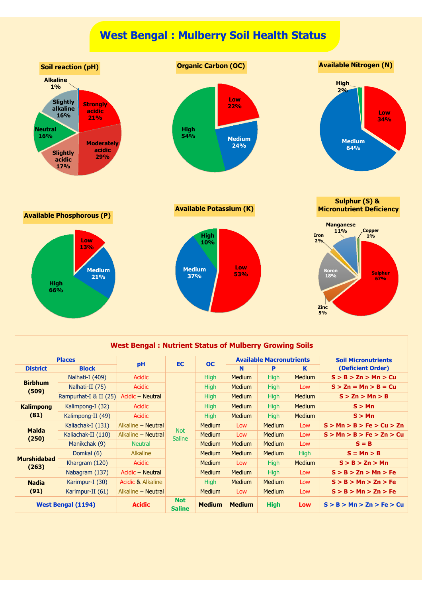## **West Bengal : Mulberry Soil Health Status**



#### **West Bengal : Nutrient Status of Mulberry Growing Soils**

|                             | <b>Places</b>             |                    | <b>EC</b>                   | <b>OC</b>     |               | <b>Available Macronutrients</b> |               | <b>Soil Micronutrients</b> |
|-----------------------------|---------------------------|--------------------|-----------------------------|---------------|---------------|---------------------------------|---------------|----------------------------|
| <b>District</b>             | <b>Block</b>              | pH                 |                             |               | N             | P                               | K             | (Deficient Order)          |
|                             | Nalhati-I (409)           | Acidic             |                             | <b>High</b>   | <b>Medium</b> | <b>High</b>                     | <b>Medium</b> | S > B > Zn > Mn > Cu       |
| <b>Birbhum</b><br>(509)     | Nalhati-II (75)           | Acidic             |                             | <b>High</b>   | <b>Medium</b> | High                            | Low           | $S > Zn = Mn > B = Cu$     |
|                             | Rampurhat-I $&$ II (25)   | Acidic – Neutral   |                             | <b>High</b>   | <b>Medium</b> | <b>High</b>                     | <b>Medium</b> | S > Zn > Mn > B            |
| <b>Kalimpong</b>            | Kalimpong-I (32)          | Acidic             |                             | <b>High</b>   | <b>Medium</b> | <b>High</b>                     | <b>Medium</b> | S > Mn                     |
| (81)                        | Kalimpong-II (49)         | Acidic             |                             | <b>High</b>   | <b>Medium</b> | <b>High</b>                     | <b>Medium</b> | S > Mn                     |
| <b>Malda</b>                | Kaliachak-I (131)         | Alkaline - Neutral |                             | <b>Medium</b> | Low           | <b>Medium</b>                   | Low           | S > Mn > B > Fe > Cu > Zn  |
| (250)                       | Kaliachak-II (110)        | Alkaline – Neutral | <b>Not</b><br><b>Saline</b> | <b>Medium</b> | Low           | <b>Medium</b>                   | Low           | S > Mn > B > Fe > Zn > Cu  |
|                             | Manikchak (9)             | <b>Neutral</b>     |                             | <b>Medium</b> | <b>Medium</b> | <b>Medium</b>                   | Low           | $S = B$                    |
|                             | Domkal (6)                | <b>Alkaline</b>    |                             | <b>Medium</b> | <b>Medium</b> | <b>Medium</b>                   | <b>High</b>   | $S = Mn > B$               |
| <b>Murshidabad</b><br>(263) | Khargram (120)            | Acidic             |                             | <b>Medium</b> | Low           | <b>High</b>                     | <b>Medium</b> | S > B > Zn > Mn            |
|                             | Nabagram (137)            | Acidic – Neutral   |                             | <b>Medium</b> | <b>Medium</b> | High                            | Low           | S > B > Zn > Mn > Fe       |
| <b>Nadia</b>                | Karimpur-I (30)           | Acidic & Alkaline  |                             | <b>High</b>   | <b>Medium</b> | <b>Medium</b>                   | Low           | S > B > Mn > Zn > Fe       |
| (91)                        | Karimpur-II (61)          | Alkaline - Neutral |                             | <b>Medium</b> | Low           | <b>Medium</b>                   | Low           | S > B > Mn > Zn > Fe       |
|                             | <b>West Bengal (1194)</b> | <b>Acidic</b>      | <b>Not</b><br><b>Saline</b> | <b>Medium</b> | <b>Medium</b> | <b>High</b>                     | <b>Low</b>    | S > B > Mn > Zn > Fe > Cu  |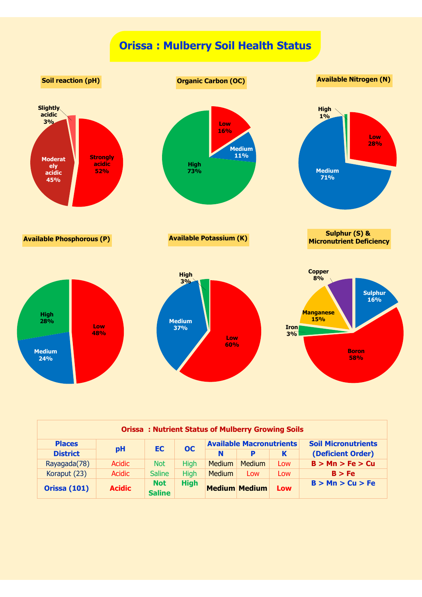# **Orissa : Mulberry Soil Health Status**



| <b>Orissa: Nutrient Status of Mulberry Growing Soils</b> |               |                             |             |        |                      |                            |                   |  |  |
|----------------------------------------------------------|---------------|-----------------------------|-------------|--------|----------------------|----------------------------|-------------------|--|--|
| <b>Available Macronutrients</b><br><b>Places</b><br>OC   |               |                             |             |        |                      | <b>Soil Micronutrients</b> |                   |  |  |
| <b>District</b>                                          | pH            |                             | <b>EC</b>   |        | Þ                    | K                          | (Deficient Order) |  |  |
| Rayagada(78)                                             | <b>Acidic</b> | <b>Not</b>                  | <b>High</b> | Medium | <b>Medium</b>        | Low                        | B > Mn > Fe > Cu  |  |  |
| Koraput (23)                                             | <b>Acidic</b> | <b>Saline</b>               | <b>High</b> | Medium | Low                  | Low                        | B > Fe            |  |  |
| <b>Orissa (101)</b>                                      | <b>Acidic</b> | <b>Not</b><br><b>Saline</b> | <b>High</b> |        | <b>Medium Medium</b> | Low                        | B > Mn > Cu > Fe  |  |  |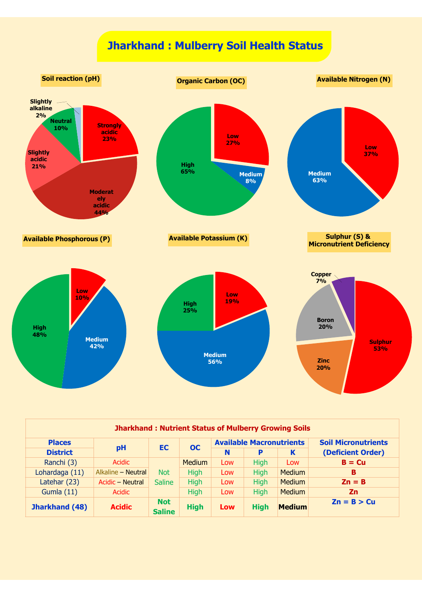# **Jharkhand : Mulberry Soil Health Status**



| <b>Jharkhand: Nutrient Status of Mulberry Growing Soils</b> |                    |                             |               |     |                                 |               |                            |  |  |
|-------------------------------------------------------------|--------------------|-----------------------------|---------------|-----|---------------------------------|---------------|----------------------------|--|--|
| <b>Places</b>                                               |                    | EC.                         |               |     | <b>Available Macronutrients</b> |               | <b>Soil Micronutrients</b> |  |  |
| <b>District</b>                                             | pH                 |                             | <b>OC</b>     | N   | p                               | K             | (Deficient Order)          |  |  |
| Ranchi (3)                                                  | <b>Acidic</b>      |                             | <b>Medium</b> | Low | <b>High</b>                     | Low           | $B = Cu$                   |  |  |
| Lohardaga (11)                                              | Alkaline - Neutral | <b>Not</b>                  | <b>High</b>   | Low | <b>High</b>                     | <b>Medium</b> | B                          |  |  |
| Latehar (23)                                                | Acidic - Neutral   | <b>Saline</b>               | <b>High</b>   | Low | <b>High</b>                     | <b>Medium</b> | $\mathsf{Zn} = \mathsf{B}$ |  |  |
| Gumla $(11)$                                                | Acidic             |                             | <b>High</b>   | Low | <b>High</b>                     | <b>Medium</b> | <b>Zn</b>                  |  |  |
| Jharkhand (48)                                              | <b>Acidic</b>      | <b>Not</b><br><b>Saline</b> | <b>High</b>   | Low | <b>High</b>                     | <b>Medium</b> | $Zn = B > Cu$              |  |  |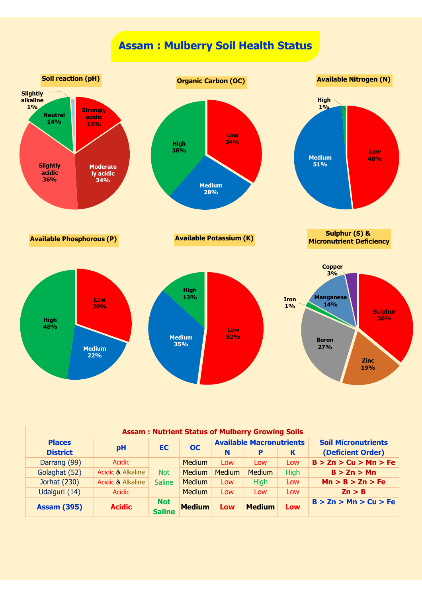# **Assam : Mulberry Soil Health Status**



| <b>Assam: Nutrient Status of Mulberry Growing Soils</b> |                              |                             |                 |               |                                 |             |                            |  |  |
|---------------------------------------------------------|------------------------------|-----------------------------|-----------------|---------------|---------------------------------|-------------|----------------------------|--|--|
| <b>Places</b>                                           |                              |                             | OC<br><b>EC</b> |               | <b>Available Macronutrients</b> |             | <b>Soil Micronutrients</b> |  |  |
| <b>District</b>                                         | pH                           |                             |                 | N             | P                               | K           | (Deficient Order)          |  |  |
| Darrang (99)                                            | Acidic                       |                             | <b>Medium</b>   | Low           | Low                             | Low         | B > Zn > Cu > Mn > Fe      |  |  |
| Golaghat (52)                                           | <b>Acidic &amp; Alkaline</b> | <b>Not</b>                  | <b>Medium</b>   | <b>Medium</b> | <b>Medium</b>                   | <b>High</b> | B > Zn > Mn                |  |  |
| Jorhat (230)                                            | <b>Acidic &amp; Alkaline</b> | <b>Saline</b>               | <b>Medium</b>   | Low           | <b>High</b>                     | Low         | Mn > B > Zn > Fe           |  |  |
| Udalguri (14)                                           | Acidic                       |                             | <b>Medium</b>   | Low           | Low                             | Low         | $\mathsf{Zn} > \mathsf{B}$ |  |  |
| <b>Assam (395)</b>                                      | <b>Acidic</b>                | <b>Not</b><br><b>Saline</b> | <b>Medium</b>   | Low           | <b>Medium</b>                   | Low         | B > Zn > Mn > Cu > Fe      |  |  |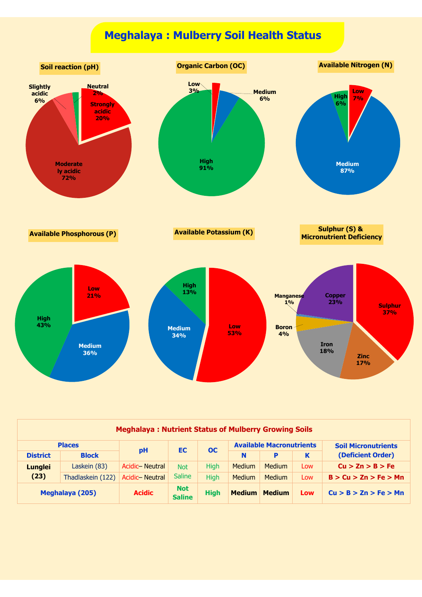



| <b>Meghalaya: Nutrient Status of Mulberry Growing Soils</b> |                        |                |                             |             |                                 |               |     |                            |  |
|-------------------------------------------------------------|------------------------|----------------|-----------------------------|-------------|---------------------------------|---------------|-----|----------------------------|--|
| <b>Places</b>                                               |                        |                |                             |             | <b>Available Macronutrients</b> |               |     | <b>Soil Micronutrients</b> |  |
| <b>District</b>                                             | <b>Block</b>           | pH             | <b>EC</b><br><b>OC</b>      |             | N                               | P             | K   | (Deficient Order)          |  |
| <b>Lunglei</b>                                              | Laskein (83)           | Acidic-Neutral | <b>Not</b>                  | <b>High</b> | <b>Medium</b>                   | <b>Medium</b> | Low | Cu > Zn > B > Fe           |  |
| (23)                                                        | Thadlaskein (122)      | Acidic-Neutral | <b>Saline</b>               | <b>High</b> | <b>Medium</b>                   | <b>Medium</b> | Low | B > Cu > Zn > Fe > Mn      |  |
|                                                             | <b>Meghalaya (205)</b> | <b>Acidic</b>  | <b>Not</b><br><b>Saline</b> | <b>High</b> | <b>Medium</b>                   | <b>Medium</b> | Low | Cu > B > Zn > Fe > Mn      |  |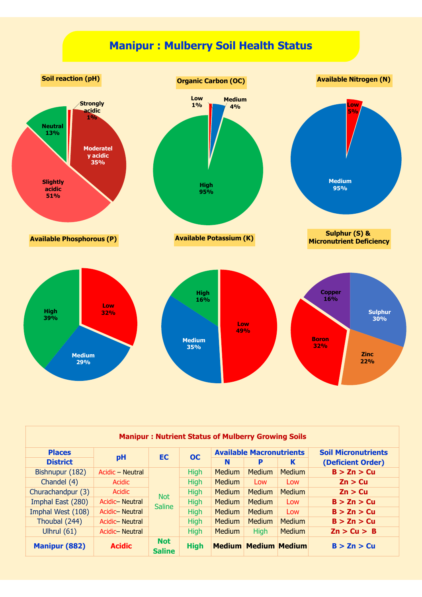

| <b>Manipur: Nutrient Status of Mulberry Growing Soils</b> |                  |                             |             |               |                                 |               |                            |  |
|-----------------------------------------------------------|------------------|-----------------------------|-------------|---------------|---------------------------------|---------------|----------------------------|--|
| <b>Places</b>                                             |                  | EC.                         | <b>OC</b>   |               | <b>Available Macronutrients</b> |               | <b>Soil Micronutrients</b> |  |
| <b>District</b>                                           | pH               |                             |             | N             | P                               | K             | (Deficient Order)          |  |
| Bishnupur (182)                                           | Acidic - Neutral |                             | <b>High</b> | <b>Medium</b> | <b>Medium</b>                   | <b>Medium</b> | B > Zn > Cu                |  |
| Chandel (4)                                               | Acidic           | <b>Not</b><br><b>Saline</b> | <b>High</b> | <b>Medium</b> | Low                             | Low           | Zn > Cu                    |  |
| Churachandpur (3)                                         | Acidic           |                             | <b>High</b> | <b>Medium</b> | <b>Medium</b>                   | <b>Medium</b> | Zn > Cu                    |  |
| Imphal East (280)                                         | Acidic - Neutral |                             | <b>High</b> | <b>Medium</b> | <b>Medium</b>                   | Low           | B > Zn > Cu                |  |
| Imphal West (108)                                         | Acidic-Neutral   |                             | <b>High</b> | <b>Medium</b> | <b>Medium</b>                   | Low           | B > Zn > Cu                |  |
| Thoubal (244)                                             | Acidic-Neutral   |                             | <b>High</b> | <b>Medium</b> | <b>Medium</b>                   | <b>Medium</b> | B > Zn > Cu                |  |
| Ulhrul $(61)$                                             | Acidic-Neutral   |                             | <b>High</b> | <b>Medium</b> | <b>High</b>                     | <b>Medium</b> | Zn > Cu > B                |  |
| <b>Manipur (882)</b>                                      | <b>Acidic</b>    | <b>Not</b><br><b>Saline</b> | <b>High</b> |               | <b>Medium Medium Medium</b>     |               | B > Zn > Cu                |  |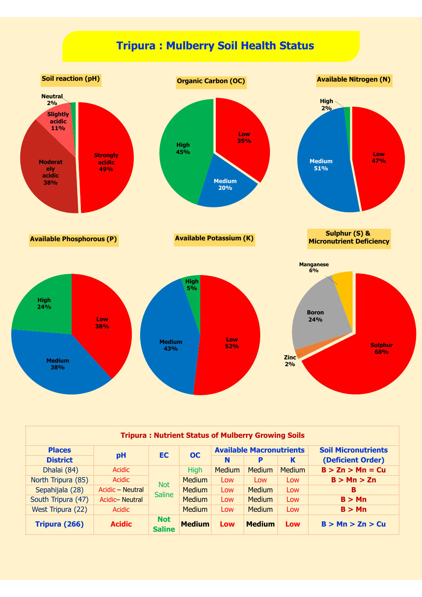

| <b>Tripura: Nutrient Status of Mulberry Growing Soils</b> |                       |                             |               |                                 |               |               |                            |  |
|-----------------------------------------------------------|-----------------------|-----------------------------|---------------|---------------------------------|---------------|---------------|----------------------------|--|
| <b>Places</b>                                             |                       | EC                          | OC            | <b>Available Macronutrients</b> |               |               | <b>Soil Micronutrients</b> |  |
| <b>District</b>                                           | pH                    |                             |               | N                               | P             | K             | (Deficient Order)          |  |
| Dhalai (84)                                               | <b>Acidic</b>         | <b>Not</b><br><b>Saline</b> | <b>High</b>   | <b>Medium</b>                   | <b>Medium</b> | <b>Medium</b> | $B > Zn > Mn = Cu$         |  |
| North Tripura (85)                                        | <b>Acidic</b>         |                             | <b>Medium</b> | Low                             | Low           | Low           | B > Mn > Zn                |  |
| Sepahijala (28)                                           | Acidic - Neutral      |                             | <b>Medium</b> | Low                             | <b>Medium</b> | Low           | в                          |  |
| South Tripura (47)                                        | <b>Acidic-Neutral</b> |                             | <b>Medium</b> | Low                             | <b>Medium</b> | Low           | B > Mn                     |  |
| West Tripura (22)                                         | Acidic                |                             | <b>Medium</b> | Low                             | <b>Medium</b> | Low           | B > Mn                     |  |
| Tripura (266)                                             | <b>Acidic</b>         | <b>Not</b><br><b>Saline</b> | <b>Medium</b> | Low                             | <b>Medium</b> | <b>Low</b>    | B > Mn > Zn > Cu           |  |